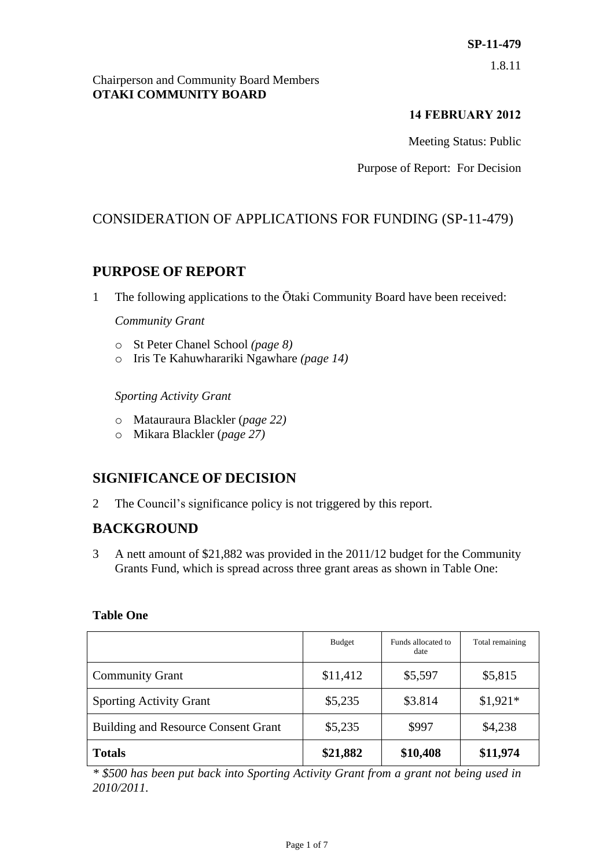# **SP-11-479**

1.8.11

#### Chairperson and Community Board Members **OTAKI COMMUNITY BOARD**

#### **14 FEBRUARY 2012**

Meeting Status: Public

Purpose of Report: For Decision

## CONSIDERATION OF APPLICATIONS FOR FUNDING (SP-11-479)

## **PURPOSE OF REPORT**

1 The following applications to the Ōtaki Community Board have been received:

#### *Community Grant*

- o St Peter Chanel School *(page 8)*
- o Iris Te Kahuwharariki Ngawhare *(page 14)*

#### *Sporting Activity Grant*

- o Matauraura Blackler (*page 22)*
- o Mikara Blackler (*page 27)*

## **SIGNIFICANCE OF DECISION**

2 The Council's significance policy is not triggered by this report.

## **BACKGROUND**

3 A nett amount of \$21,882 was provided in the 2011/12 budget for the Community Grants Fund, which is spread across three grant areas as shown in Table One:

#### **Table One**

|                                            | <b>Budget</b> | Funds allocated to<br>date | Total remaining |
|--------------------------------------------|---------------|----------------------------|-----------------|
| <b>Community Grant</b>                     | \$11,412      | \$5,597                    | \$5,815         |
| <b>Sporting Activity Grant</b>             | \$5,235       | \$3.814                    | $$1,921*$       |
| <b>Building and Resource Consent Grant</b> | \$5,235       | \$997                      | \$4,238         |
| <b>Totals</b>                              | \$21,882      | \$10,408                   | \$11,974        |

*\* \$500 has been put back into Sporting Activity Grant from a grant not being used in 2010/2011.*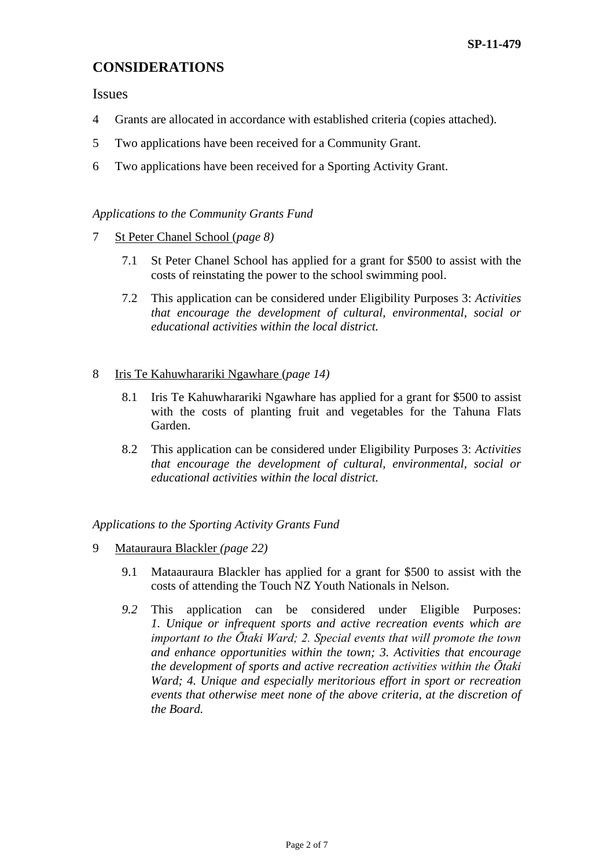## **CONSIDERATIONS**

Issues

- 4 Grants are allocated in accordance with established criteria (copies attached).
- 5 Two applications have been received for a Community Grant.
- 6 Two applications have been received for a Sporting Activity Grant.

#### *Applications to the Community Grants Fund*

- 7 St Peter Chanel School (*page 8)*
	- 7.1 St Peter Chanel School has applied for a grant for \$500 to assist with the costs of reinstating the power to the school swimming pool.
	- 7.2 This application can be considered under Eligibility Purposes 3: *Activities that encourage the development of cultural, environmental, social or educational activities within the local district.*
- 8 Iris Te Kahuwharariki Ngawhare (*page 14)*
	- 8.1 Iris Te Kahuwharariki Ngawhare has applied for a grant for \$500 to assist with the costs of planting fruit and vegetables for the Tahuna Flats Garden.
	- 8.2 This application can be considered under Eligibility Purposes 3: *Activities that encourage the development of cultural, environmental, social or educational activities within the local district.*

#### *Applications to the Sporting Activity Grants Fund*

- 9 Matauraura Blackler *(page 22)*
	- 9.1 Mataauraura Blackler has applied for a grant for \$500 to assist with the costs of attending the Touch NZ Youth Nationals in Nelson.
	- *9.2* This application can be considered under Eligible Purposes: *1. Unique or infrequent sports and active recreation events which are important to the Ōtaki Ward; 2. Special events that will promote the town and enhance opportunities within the town; 3. Activities that encourage the development of sports and active recreation activities within the Ōtaki Ward; 4. Unique and especially meritorious effort in sport or recreation events that otherwise meet none of the above criteria, at the discretion of the Board.*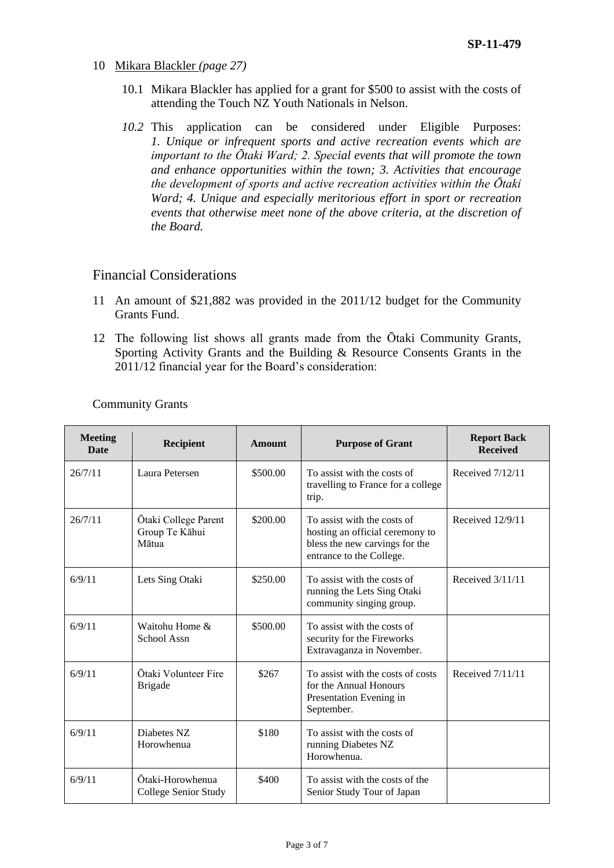- 10 Mikara Blackler *(page 27)*
	- 10.1 Mikara Blackler has applied for a grant for \$500 to assist with the costs of attending the Touch NZ Youth Nationals in Nelson.
	- *10.2* This application can be considered under Eligible Purposes: *1. Unique or infrequent sports and active recreation events which are important to the Ōtaki Ward; 2. Special events that will promote the town and enhance opportunities within the town; 3. Activities that encourage the development of sports and active recreation activities within the Ōtaki Ward; 4. Unique and especially meritorious effort in sport or recreation events that otherwise meet none of the above criteria, at the discretion of the Board.*

#### Financial Considerations

- 11 An amount of \$21,882 was provided in the 2011/12 budget for the Community Grants Fund.
- 12 The following list shows all grants made from the Ōtaki Community Grants, Sporting Activity Grants and the Building & Resource Consents Grants in the 2011/12 financial year for the Board's consideration:

| <b>Meeting</b><br>Date | <b>Recipient</b>                                | <b>Amount</b> | <b>Purpose of Grant</b>                                                                                                      | <b>Report Back</b><br><b>Received</b> |
|------------------------|-------------------------------------------------|---------------|------------------------------------------------------------------------------------------------------------------------------|---------------------------------------|
| 26/7/11                | Laura Petersen                                  | \$500.00      | To assist with the costs of<br>travelling to France for a college<br>trip.                                                   | Received 7/12/11                      |
| 26/7/11                | Ōtaki College Parent<br>Group Te Kāhui<br>Mātua | \$200.00      | To assist with the costs of<br>hosting an official ceremony to<br>bless the new carvings for the<br>entrance to the College. | Received 12/9/11                      |
| 6/9/11                 | Lets Sing Otaki                                 | \$250.00      | To assist with the costs of<br>running the Lets Sing Otaki<br>community singing group.                                       | Received 3/11/11                      |
| 6/9/11                 | Waitohu Home &<br>School Assn                   | \$500.00      | To assist with the costs of<br>security for the Fireworks<br>Extravaganza in November.                                       |                                       |
| 6/9/11                 | Ōtaki Volunteer Fire<br><b>Brigade</b>          | \$267         | To assist with the costs of costs<br>for the Annual Honours<br>Presentation Evening in<br>September.                         | Received 7/11/11                      |
| 6/9/11                 | Diabetes NZ<br>Horowhenua                       | \$180         | To assist with the costs of<br>running Diabetes NZ<br>Horowhenua.                                                            |                                       |
| 6/9/11                 | Ōtaki-Horowhenua<br>College Senior Study        | \$400         | To assist with the costs of the<br>Senior Study Tour of Japan                                                                |                                       |

Community Grants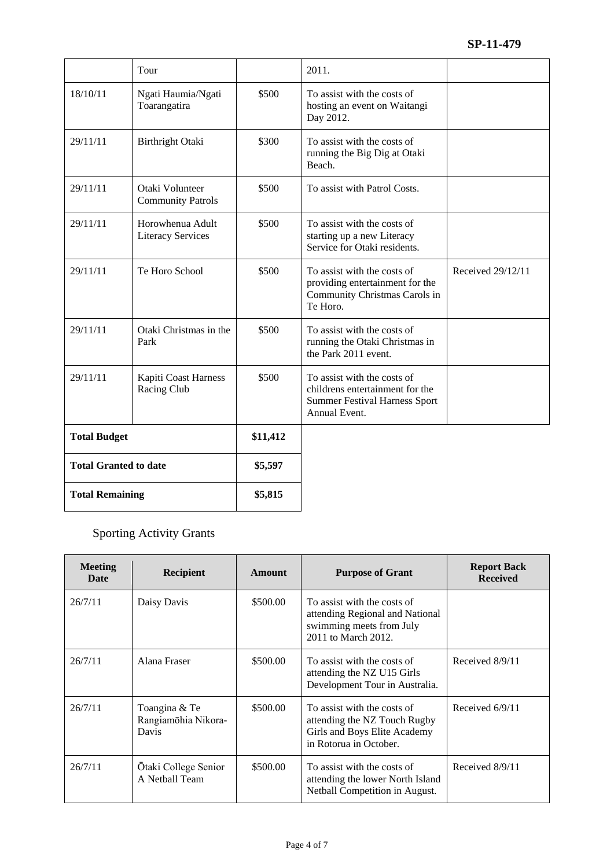|                              | Tour                                         |          | 2011.                                                                                                                   |                   |
|------------------------------|----------------------------------------------|----------|-------------------------------------------------------------------------------------------------------------------------|-------------------|
| 18/10/11                     | Ngati Haumia/Ngati<br>Toarangatira           | \$500    | To assist with the costs of<br>hosting an event on Waitangi<br>Day 2012.                                                |                   |
| 29/11/11                     | Birthright Otaki                             | \$300    | To assist with the costs of<br>running the Big Dig at Otaki<br>Beach.                                                   |                   |
| 29/11/11                     | Otaki Volunteer<br><b>Community Patrols</b>  | \$500    | To assist with Patrol Costs.                                                                                            |                   |
| 29/11/11                     | Horowhenua Adult<br><b>Literacy Services</b> | \$500    | To assist with the costs of<br>starting up a new Literacy<br>Service for Otaki residents.                               |                   |
| 29/11/11                     | Te Horo School                               | \$500    | To assist with the costs of<br>providing entertainment for the<br>Community Christmas Carols in<br>Te Horo.             | Received 29/12/11 |
| 29/11/11                     | Otaki Christmas in the<br>Park               | \$500    | To assist with the costs of<br>running the Otaki Christmas in<br>the Park 2011 event.                                   |                   |
| 29/11/11                     | Kapiti Coast Harness<br>Racing Club          | \$500    | To assist with the costs of<br>childrens entertainment for the<br><b>Summer Festival Harness Sport</b><br>Annual Event. |                   |
| <b>Total Budget</b>          |                                              | \$11,412 |                                                                                                                         |                   |
| <b>Total Granted to date</b> |                                              | \$5,597  |                                                                                                                         |                   |
| <b>Total Remaining</b>       |                                              | \$5,815  |                                                                                                                         |                   |

Sporting Activity Grants

| <b>Meeting</b><br>Date | <b>Recipient</b>                              | Amount   | <b>Purpose of Grant</b>                                                                                               | <b>Report Back</b><br><b>Received</b> |
|------------------------|-----------------------------------------------|----------|-----------------------------------------------------------------------------------------------------------------------|---------------------------------------|
| 26/7/11                | Daisy Davis                                   | \$500.00 | To assist with the costs of<br>attending Regional and National<br>swimming meets from July<br>2011 to March 2012.     |                                       |
| 26/7/11                | Alana Fraser                                  | \$500.00 | To assist with the costs of<br>attending the NZ U15 Girls<br>Development Tour in Australia.                           | Received 8/9/11                       |
| 26/7/11                | Toangina & Te<br>Rangiamōhia Nikora-<br>Davis | \$500.00 | To assist with the costs of<br>attending the NZ Touch Rugby<br>Girls and Boys Elite Academy<br>in Rotorua in October. | Received $6/9/11$                     |
| 26/7/11                | Ōtaki College Senior<br>A Netball Team        | \$500.00 | To assist with the costs of<br>attending the lower North Island<br>Netball Competition in August.                     | Received 8/9/11                       |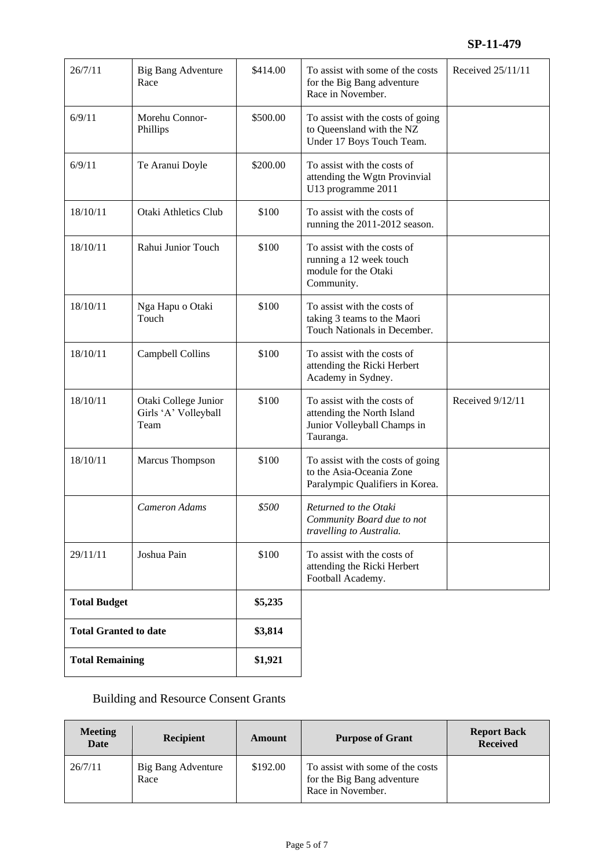| 26/7/11                      | Big Bang Adventure<br>Race                           | \$414.00 | To assist with some of the costs<br>for the Big Bang adventure<br>Race in November.                   | Received 25/11/11 |
|------------------------------|------------------------------------------------------|----------|-------------------------------------------------------------------------------------------------------|-------------------|
| 6/9/11                       | Morehu Connor-<br>Phillips                           | \$500.00 | To assist with the costs of going<br>to Queensland with the NZ<br>Under 17 Boys Touch Team.           |                   |
| 6/9/11                       | Te Aranui Doyle                                      | \$200.00 | To assist with the costs of<br>attending the Wgtn Provinvial<br>U13 programme 2011                    |                   |
| 18/10/11                     | Otaki Athletics Club                                 | \$100    | To assist with the costs of<br>running the 2011-2012 season.                                          |                   |
| 18/10/11                     | Rahui Junior Touch                                   | \$100    | To assist with the costs of<br>running a 12 week touch<br>module for the Otaki<br>Community.          |                   |
| 18/10/11                     | Nga Hapu o Otaki<br>Touch                            | \$100    | To assist with the costs of<br>taking 3 teams to the Maori<br>Touch Nationals in December.            |                   |
| 18/10/11                     | Campbell Collins                                     | \$100    | To assist with the costs of<br>attending the Ricki Herbert<br>Academy in Sydney.                      |                   |
| 18/10/11                     | Otaki College Junior<br>Girls 'A' Volleyball<br>Team | \$100    | To assist with the costs of<br>attending the North Island<br>Junior Volleyball Champs in<br>Tauranga. | Received 9/12/11  |
| 18/10/11                     | Marcus Thompson                                      | \$100    | To assist with the costs of going<br>to the Asia-Oceania Zone<br>Paralympic Qualifiers in Korea.      |                   |
|                              | <b>Cameron Adams</b>                                 | \$500    | Returned to the Otaki<br>Community Board due to not<br>travelling to Australia.                       |                   |
| 29/11/11                     | Joshua Pain                                          | \$100    | To assist with the costs of<br>attending the Ricki Herbert<br>Football Academy.                       |                   |
| <b>Total Budget</b>          |                                                      | \$5,235  |                                                                                                       |                   |
| <b>Total Granted to date</b> |                                                      | \$3,814  |                                                                                                       |                   |
| <b>Total Remaining</b>       |                                                      | \$1,921  |                                                                                                       |                   |

# Building and Resource Consent Grants

| <b>Meeting</b><br><b>Date</b> | Recipient                  | Amount   | <b>Purpose of Grant</b>                                                             | <b>Report Back</b><br><b>Received</b> |
|-------------------------------|----------------------------|----------|-------------------------------------------------------------------------------------|---------------------------------------|
| 26/7/11                       | Big Bang Adventure<br>Race | \$192.00 | To assist with some of the costs<br>for the Big Bang adventure<br>Race in November. |                                       |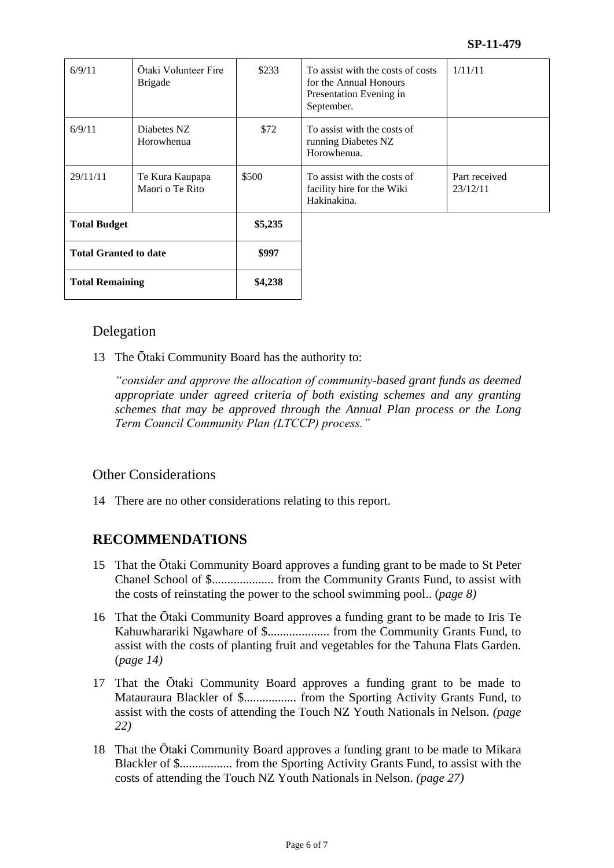| 6/9/11                       | Otaki Volunteer Fire<br><b>Brigade</b> | \$233   | To assist with the costs of costs<br>for the Annual Honours<br>Presentation Evening in<br>September. | 1/11/11                   |
|------------------------------|----------------------------------------|---------|------------------------------------------------------------------------------------------------------|---------------------------|
| 6/9/11                       | Diabetes NZ<br>Horowhenua              | \$72    | To assist with the costs of<br>running Diabetes NZ<br>Horowhenua.                                    |                           |
| 29/11/11                     | Te Kura Kaupapa<br>Maori o Te Rito     | \$500   | To assist with the costs of<br>facility hire for the Wiki<br>Hakinakina.                             | Part received<br>23/12/11 |
| <b>Total Budget</b>          |                                        | \$5,235 |                                                                                                      |                           |
| <b>Total Granted to date</b> |                                        | \$997   |                                                                                                      |                           |
| <b>Total Remaining</b>       |                                        | \$4,238 |                                                                                                      |                           |

## Delegation

13 The Ōtaki Community Board has the authority to:

*"consider and approve the allocation of community-based grant funds as deemed appropriate under agreed criteria of both existing schemes and any granting schemes that may be approved through the Annual Plan process or the Long Term Council Community Plan (LTCCP) process."*

## Other Considerations

14 There are no other considerations relating to this report.

## **RECOMMENDATIONS**

- 15 That the Ōtaki Community Board approves a funding grant to be made to St Peter Chanel School of \$.................... from the Community Grants Fund, to assist with the costs of reinstating the power to the school swimming pool.. (*page 8)*
- 16 That the Ōtaki Community Board approves a funding grant to be made to Iris Te Kahuwharariki Ngawhare of \$.................... from the Community Grants Fund, to assist with the costs of planting fruit and vegetables for the Tahuna Flats Garden. (*page 14)*
- 17 That the Ōtaki Community Board approves a funding grant to be made to Matauraura Blackler of \$................. from the Sporting Activity Grants Fund, to assist with the costs of attending the Touch NZ Youth Nationals in Nelson. *(page 22)*
- 18 That the Ōtaki Community Board approves a funding grant to be made to Mikara Blackler of \$................. from the Sporting Activity Grants Fund, to assist with the costs of attending the Touch NZ Youth Nationals in Nelson. *(page 27)*